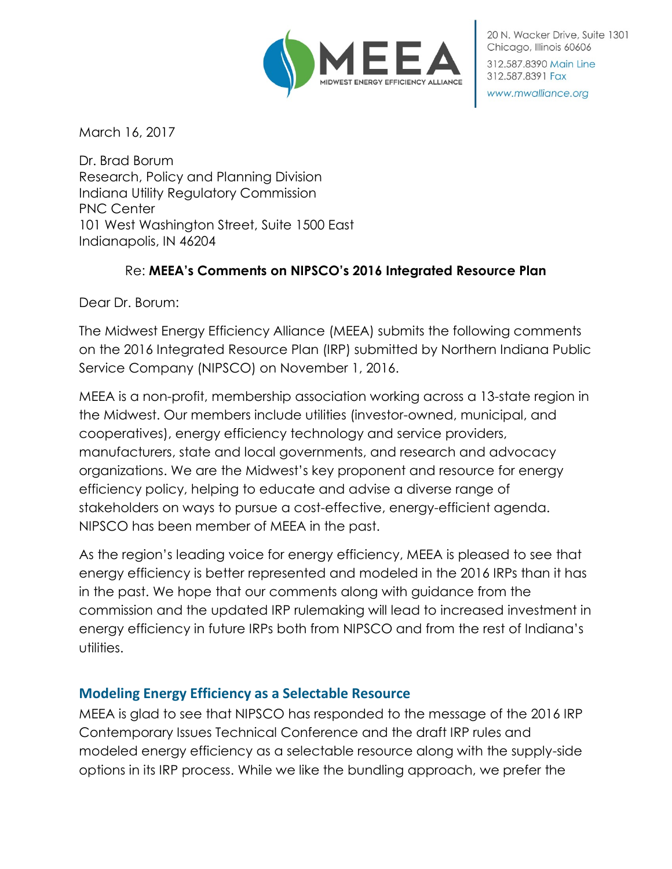

20 N. Wacker Drive, Suite 1301 Chicago, Illinois 60606 312.587.8390 Main Line

www.mwalliance.org

312.587.8391 Fax

March 16, 2017

Dr. Brad Borum Research, Policy and Planning Division Indiana Utility Regulatory Commission PNC Center 101 West Washington Street, Suite 1500 East Indianapolis, IN 46204

### Re: **MEEA's Comments on NIPSCO's 2016 Integrated Resource Plan**

Dear Dr. Borum:

The Midwest Energy Efficiency Alliance (MEEA) submits the following comments on the 2016 Integrated Resource Plan (IRP) submitted by Northern Indiana Public Service Company (NIPSCO) on November 1, 2016.

MEEA is a non-profit, membership association working across a 13-state region in the Midwest. Our members include utilities (investor-owned, municipal, and cooperatives), energy efficiency technology and service providers, manufacturers, state and local governments, and research and advocacy organizations. We are the Midwest's key proponent and resource for energy efficiency policy, helping to educate and advise a diverse range of stakeholders on ways to pursue a cost-effective, energy-efficient agenda. NIPSCO has been member of MEEA in the past.

As the region's leading voice for energy efficiency, MEEA is pleased to see that energy efficiency is better represented and modeled in the 2016 IRPs than it has in the past. We hope that our comments along with guidance from the commission and the updated IRP rulemaking will lead to increased investment in energy efficiency in future IRPs both from NIPSCO and from the rest of Indiana's utilities.

#### **Modeling Energy Efficiency as a Selectable Resource**

MEEA is glad to see that NIPSCO has responded to the message of the 2016 IRP Contemporary Issues Technical Conference and the draft IRP rules and modeled energy efficiency as a selectable resource along with the supply-side options in its IRP process. While we like the bundling approach, we prefer the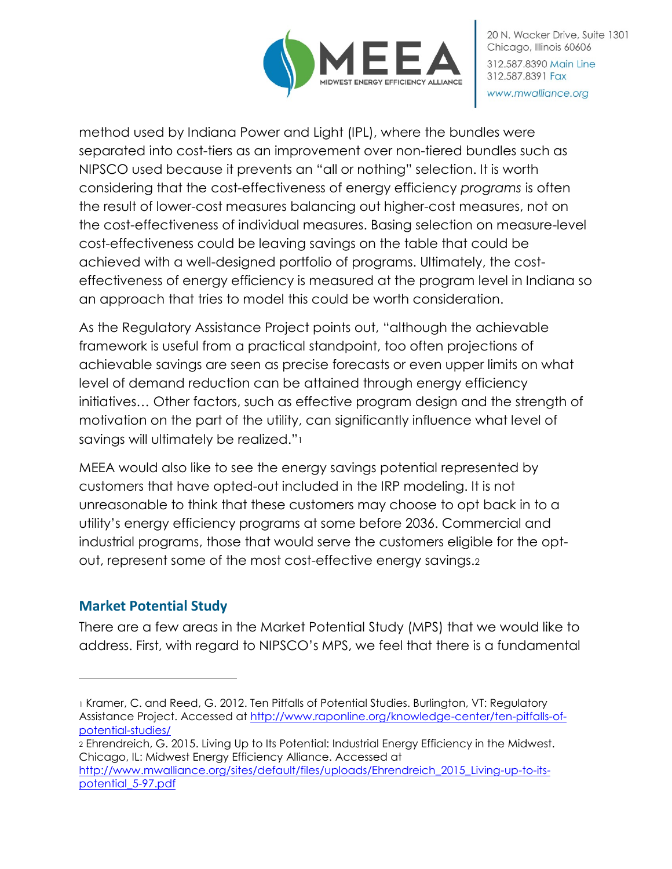

method used by Indiana Power and Light (IPL), where the bundles were separated into cost-tiers as an improvement over non-tiered bundles such as NIPSCO used because it prevents an "all or nothing" selection. It is worth considering that the cost-effectiveness of energy efficiency *programs* is often the result of lower-cost measures balancing out higher-cost measures, not on the cost-effectiveness of individual measures. Basing selection on measure-level cost-effectiveness could be leaving savings on the table that could be achieved with a well-designed portfolio of programs. Ultimately, the costeffectiveness of energy efficiency is measured at the program level in Indiana so an approach that tries to model this could be worth consideration.

As the Regulatory Assistance Project points out, "although the achievable framework is useful from a practical standpoint, too often projections of achievable savings are seen as precise forecasts or even upper limits on what level of demand reduction can be attained through energy efficiency initiatives… Other factors, such as effective program design and the strength of motivation on the part of the utility, can significantly influence what level of savings will ultimately be realized."<sup>1</sup>

MEEA would also like to see the energy savings potential represented by customers that have opted-out included in the IRP modeling. It is not unreasonable to think that these customers may choose to opt back in to a utility's energy efficiency programs at some before 2036. Commercial and industrial programs, those that would serve the customers eligible for the optout, represent some of the most cost-effective energy savings.<sup>2</sup>

# **Market Potential Study**

 $\overline{a}$ 

There are a few areas in the Market Potential Study (MPS) that we would like to address. First, with regard to NIPSCO's MPS, we feel that there is a fundamental

<sup>1</sup> Kramer, C. and Reed, G. 2012. Ten Pitfalls of Potential Studies. Burlington, VT: Regulatory Assistance Project. Accessed at [http://www.raponline.org/knowledge-center/ten-pitfalls-of](http://www.raponline.org/knowledge-center/ten-pitfalls-of-potential-studies/)[potential-studies/](http://www.raponline.org/knowledge-center/ten-pitfalls-of-potential-studies/)

<sup>2</sup> Ehrendreich, G. 2015. Living Up to Its Potential: Industrial Energy Efficiency in the Midwest. Chicago, IL: Midwest Energy Efficiency Alliance. Accessed at [http://www.mwalliance.org/sites/default/files/uploads/Ehrendreich\\_2015\\_Living-up-to-its-](http://www.mwalliance.org/sites/default/files/uploads/Ehrendreich_2015_Living-up-to-its-potential_5-97.pdf)

[potential\\_5-97.pdf](http://www.mwalliance.org/sites/default/files/uploads/Ehrendreich_2015_Living-up-to-its-potential_5-97.pdf)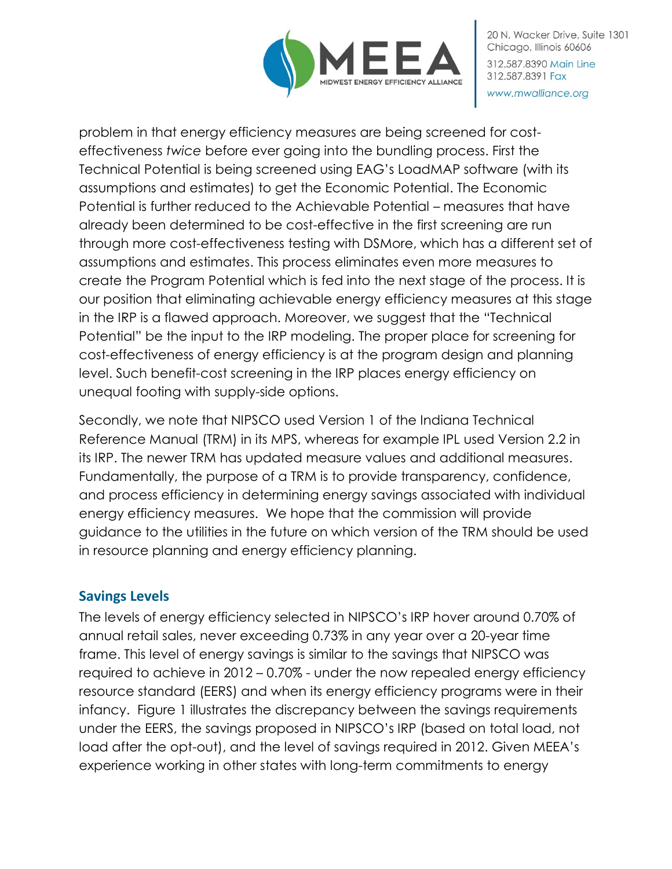

20 N. Wacker Drive, Suite 1301 Chicago, Illinois 60606 312.587.8390 Main Line 312.587.8391 Fax www.mwalliance.org

problem in that energy efficiency measures are being screened for costeffectiveness *twice* before ever going into the bundling process. First the Technical Potential is being screened using EAG's LoadMAP software (with its assumptions and estimates) to get the Economic Potential. The Economic Potential is further reduced to the Achievable Potential – measures that have already been determined to be cost-effective in the first screening are run through more cost-effectiveness testing with DSMore, which has a different set of assumptions and estimates. This process eliminates even more measures to create the Program Potential which is fed into the next stage of the process. It is our position that eliminating achievable energy efficiency measures at this stage in the IRP is a flawed approach. Moreover, we suggest that the "Technical Potential" be the input to the IRP modeling. The proper place for screening for cost-effectiveness of energy efficiency is at the program design and planning level. Such benefit-cost screening in the IRP places energy efficiency on unequal footing with supply-side options.

Secondly, we note that NIPSCO used Version 1 of the Indiana Technical Reference Manual (TRM) in its MPS, whereas for example IPL used Version 2.2 in its IRP. The newer TRM has updated measure values and additional measures. Fundamentally, the purpose of a TRM is to provide transparency, confidence, and process efficiency in determining energy savings associated with individual energy efficiency measures. We hope that the commission will provide guidance to the utilities in the future on which version of the TRM should be used in resource planning and energy efficiency planning.

## **Savings Levels**

The levels of energy efficiency selected in NIPSCO's IRP hover around 0.70% of annual retail sales, never exceeding 0.73% in any year over a 20-year time frame. This level of energy savings is similar to the savings that NIPSCO was required to achieve in 2012 – 0.70% - under the now repealed energy efficiency resource standard (EERS) and when its energy efficiency programs were in their infancy. Figure 1 illustrates the discrepancy between the savings requirements under the EERS, the savings proposed in NIPSCO's IRP (based on total load, not load after the opt-out), and the level of savings required in 2012. Given MEEA's experience working in other states with long-term commitments to energy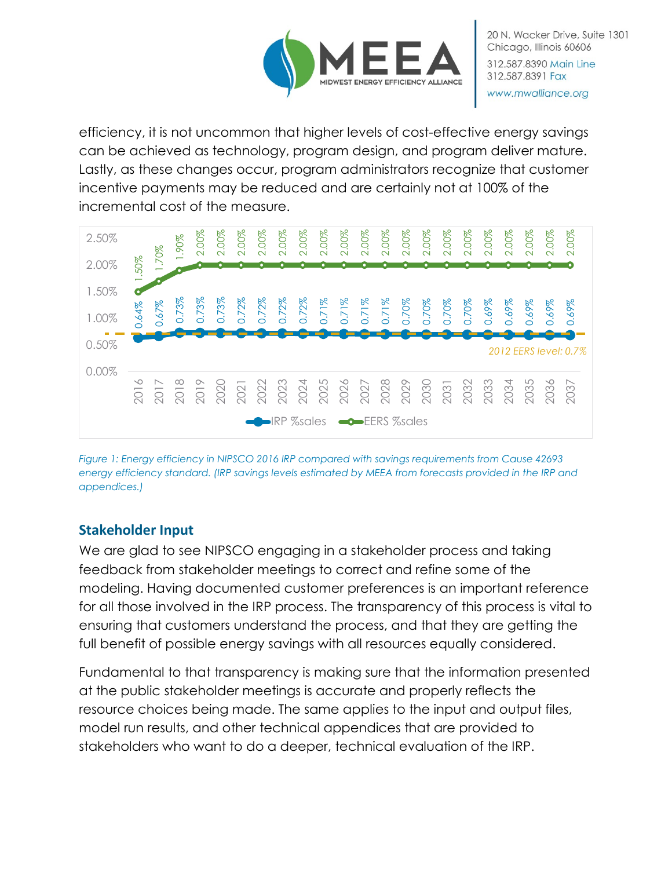

efficiency, it is not uncommon that higher levels of cost-effective energy savings can be achieved as technology, program design, and program deliver mature. Lastly, as these changes occur, program administrators recognize that customer incentive payments may be reduced and are certainly not at 100% of the incremental cost of the measure.



*Figure 1: Energy efficiency in NIPSCO 2016 IRP compared with savings requirements from Cause 42693 energy efficiency standard. (IRP savings levels estimated by MEEA from forecasts provided in the IRP and appendices.)*

## **Stakeholder Input**

We are glad to see NIPSCO engaging in a stakeholder process and taking feedback from stakeholder meetings to correct and refine some of the modeling. Having documented customer preferences is an important reference for all those involved in the IRP process. The transparency of this process is vital to ensuring that customers understand the process, and that they are getting the full benefit of possible energy savings with all resources equally considered.

Fundamental to that transparency is making sure that the information presented at the public stakeholder meetings is accurate and properly reflects the resource choices being made. The same applies to the input and output files, model run results, and other technical appendices that are provided to